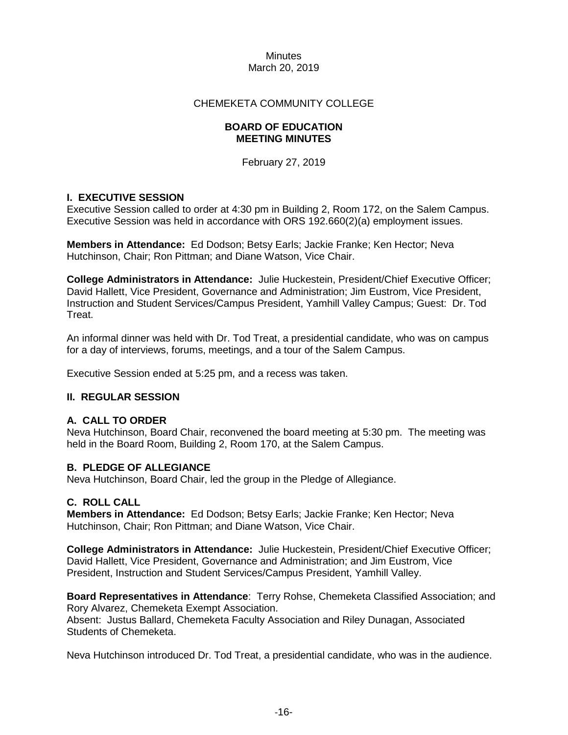## CHEMEKETA COMMUNITY COLLEGE

## **BOARD OF EDUCATION MEETING MINUTES**

February 27, 2019

## **I. EXECUTIVE SESSION**

Executive Session called to order at 4:30 pm in Building 2, Room 172, on the Salem Campus. Executive Session was held in accordance with ORS 192.660(2)(a) employment issues.

**Members in Attendance:** Ed Dodson; Betsy Earls; Jackie Franke; Ken Hector; Neva Hutchinson, Chair; Ron Pittman; and Diane Watson, Vice Chair.

**College Administrators in Attendance:** Julie Huckestein, President/Chief Executive Officer; David Hallett, Vice President, Governance and Administration; Jim Eustrom, Vice President, Instruction and Student Services/Campus President, Yamhill Valley Campus; Guest: Dr. Tod Treat.

An informal dinner was held with Dr. Tod Treat, a presidential candidate, who was on campus for a day of interviews, forums, meetings, and a tour of the Salem Campus.

Executive Session ended at 5:25 pm, and a recess was taken.

## **II. REGULAR SESSION**

## **A. CALL TO ORDER**

Neva Hutchinson, Board Chair, reconvened the board meeting at 5:30 pm. The meeting was held in the Board Room, Building 2, Room 170, at the Salem Campus.

## **B. PLEDGE OF ALLEGIANCE**

Neva Hutchinson, Board Chair, led the group in the Pledge of Allegiance.

## **C. ROLL CALL**

**Members in Attendance:** Ed Dodson; Betsy Earls; Jackie Franke; Ken Hector; Neva Hutchinson, Chair; Ron Pittman; and Diane Watson, Vice Chair.

**College Administrators in Attendance:** Julie Huckestein, President/Chief Executive Officer; David Hallett, Vice President, Governance and Administration; and Jim Eustrom, Vice President, Instruction and Student Services/Campus President, Yamhill Valley.

**Board Representatives in Attendance**: Terry Rohse, Chemeketa Classified Association; and Rory Alvarez, Chemeketa Exempt Association. Absent: Justus Ballard, Chemeketa Faculty Association and Riley Dunagan, Associated Students of Chemeketa.

Neva Hutchinson introduced Dr. Tod Treat, a presidential candidate, who was in the audience.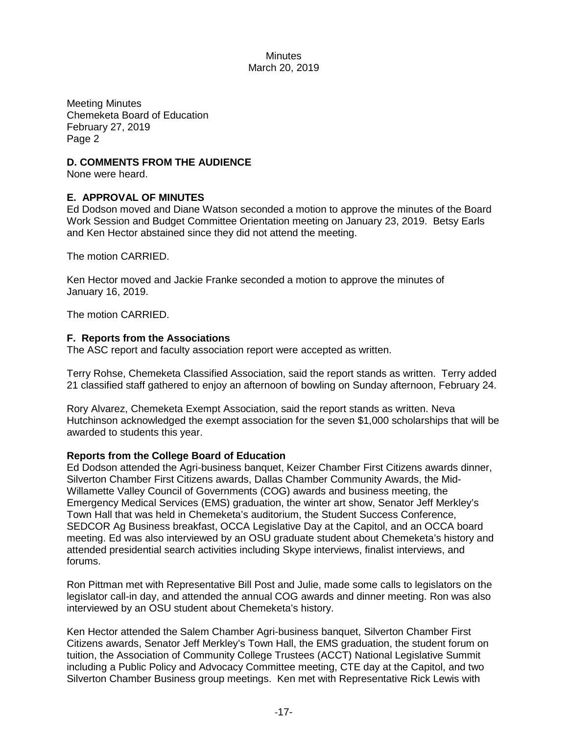Meeting Minutes Chemeketa Board of Education February 27, 2019 Page 2

## **D. COMMENTS FROM THE AUDIENCE**

None were heard.

## **E. APPROVAL OF MINUTES**

Ed Dodson moved and Diane Watson seconded a motion to approve the minutes of the Board Work Session and Budget Committee Orientation meeting on January 23, 2019. Betsy Earls and Ken Hector abstained since they did not attend the meeting.

The motion CARRIED.

Ken Hector moved and Jackie Franke seconded a motion to approve the minutes of January 16, 2019.

The motion CARRIED.

## **F. Reports from the Associations**

The ASC report and faculty association report were accepted as written.

Terry Rohse, Chemeketa Classified Association, said the report stands as written. Terry added 21 classified staff gathered to enjoy an afternoon of bowling on Sunday afternoon, February 24.

Rory Alvarez, Chemeketa Exempt Association, said the report stands as written. Neva Hutchinson acknowledged the exempt association for the seven \$1,000 scholarships that will be awarded to students this year.

## **Reports from the College Board of Education**

Ed Dodson attended the Agri-business banquet, Keizer Chamber First Citizens awards dinner, Silverton Chamber First Citizens awards, Dallas Chamber Community Awards, the Mid-Willamette Valley Council of Governments (COG) awards and business meeting, the Emergency Medical Services (EMS) graduation, the winter art show, Senator Jeff Merkley's Town Hall that was held in Chemeketa's auditorium, the Student Success Conference, SEDCOR Ag Business breakfast, OCCA Legislative Day at the Capitol, and an OCCA board meeting. Ed was also interviewed by an OSU graduate student about Chemeketa's history and attended presidential search activities including Skype interviews, finalist interviews, and forums.

Ron Pittman met with Representative Bill Post and Julie, made some calls to legislators on the legislator call-in day, and attended the annual COG awards and dinner meeting. Ron was also interviewed by an OSU student about Chemeketa's history.

Ken Hector attended the Salem Chamber Agri-business banquet, Silverton Chamber First Citizens awards, Senator Jeff Merkley's Town Hall, the EMS graduation, the student forum on tuition, the Association of Community College Trustees (ACCT) National Legislative Summit including a Public Policy and Advocacy Committee meeting, CTE day at the Capitol, and two Silverton Chamber Business group meetings. Ken met with Representative Rick Lewis with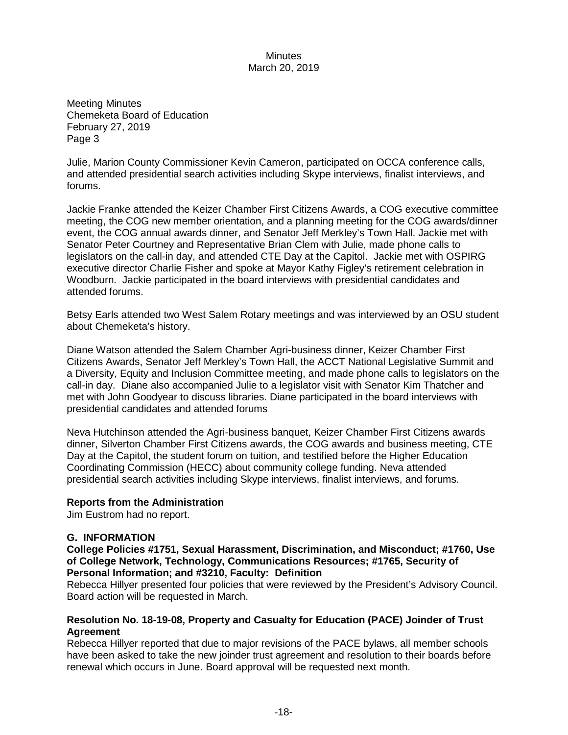Meeting Minutes Chemeketa Board of Education February 27, 2019 Page 3

Julie, Marion County Commissioner Kevin Cameron, participated on OCCA conference calls, and attended presidential search activities including Skype interviews, finalist interviews, and forums.

Jackie Franke attended the Keizer Chamber First Citizens Awards, a COG executive committee meeting, the COG new member orientation, and a planning meeting for the COG awards/dinner event, the COG annual awards dinner, and Senator Jeff Merkley's Town Hall. Jackie met with Senator Peter Courtney and Representative Brian Clem with Julie, made phone calls to legislators on the call-in day, and attended CTE Day at the Capitol. Jackie met with OSPIRG executive director Charlie Fisher and spoke at Mayor Kathy Figley's retirement celebration in Woodburn. Jackie participated in the board interviews with presidential candidates and attended forums.

Betsy Earls attended two West Salem Rotary meetings and was interviewed by an OSU student about Chemeketa's history.

Diane Watson attended the Salem Chamber Agri-business dinner, Keizer Chamber First Citizens Awards, Senator Jeff Merkley's Town Hall, the ACCT National Legislative Summit and a Diversity, Equity and Inclusion Committee meeting, and made phone calls to legislators on the call-in day. Diane also accompanied Julie to a legislator visit with Senator Kim Thatcher and met with John Goodyear to discuss libraries. Diane participated in the board interviews with presidential candidates and attended forums

Neva Hutchinson attended the Agri-business banquet, Keizer Chamber First Citizens awards dinner, Silverton Chamber First Citizens awards, the COG awards and business meeting, CTE Day at the Capitol, the student forum on tuition, and testified before the Higher Education Coordinating Commission (HECC) about community college funding. Neva attended presidential search activities including Skype interviews, finalist interviews, and forums.

## **Reports from the Administration**

Jim Eustrom had no report.

## **G. INFORMATION**

**College Policies #1751, Sexual Harassment, Discrimination, and Misconduct; #1760, Use of College Network, Technology, Communications Resources; #1765, Security of Personal Information; and #3210, Faculty: Definition**

Rebecca Hillyer presented four policies that were reviewed by the President's Advisory Council. Board action will be requested in March.

## **Resolution No. 18-19-08, Property and Casualty for Education (PACE) Joinder of Trust Agreement**

Rebecca Hillyer reported that due to major revisions of the PACE bylaws, all member schools have been asked to take the new joinder trust agreement and resolution to their boards before renewal which occurs in June. Board approval will be requested next month.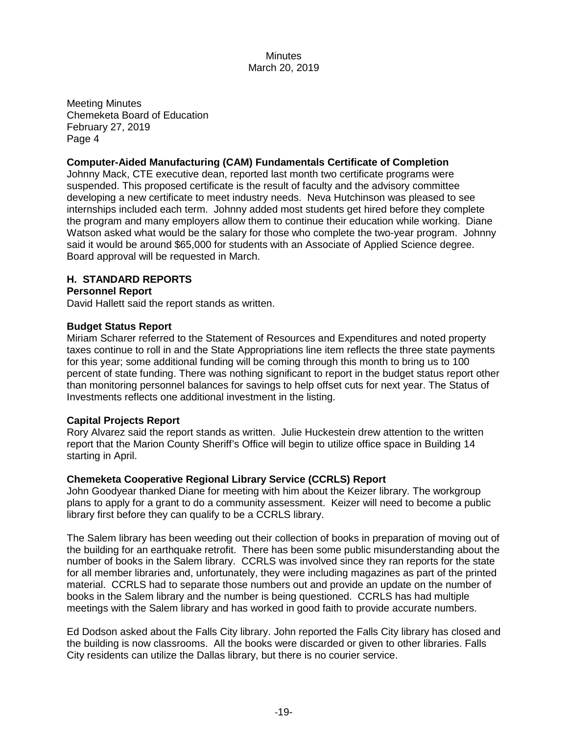Meeting Minutes Chemeketa Board of Education February 27, 2019 Page 4

## **Computer-Aided Manufacturing (CAM) Fundamentals Certificate of Completion**

Johnny Mack, CTE executive dean, reported last month two certificate programs were suspended. This proposed certificate is the result of faculty and the advisory committee developing a new certificate to meet industry needs. Neva Hutchinson was pleased to see internships included each term. Johnny added most students get hired before they complete the program and many employers allow them to continue their education while working. Diane Watson asked what would be the salary for those who complete the two-year program. Johnny said it would be around \$65,000 for students with an Associate of Applied Science degree. Board approval will be requested in March.

## **H. STANDARD REPORTS**

## **Personnel Report**

David Hallett said the report stands as written.

## **Budget Status Report**

Miriam Scharer referred to the Statement of Resources and Expenditures and noted property taxes continue to roll in and the State Appropriations line item reflects the three state payments for this year; some additional funding will be coming through this month to bring us to 100 percent of state funding. There was nothing significant to report in the budget status report other than monitoring personnel balances for savings to help offset cuts for next year. The Status of Investments reflects one additional investment in the listing.

## **Capital Projects Report**

Rory Alvarez said the report stands as written. Julie Huckestein drew attention to the written report that the Marion County Sheriff's Office will begin to utilize office space in Building 14 starting in April.

## **Chemeketa Cooperative Regional Library Service (CCRLS) Report**

John Goodyear thanked Diane for meeting with him about the Keizer library. The workgroup plans to apply for a grant to do a community assessment. Keizer will need to become a public library first before they can qualify to be a CCRLS library.

The Salem library has been weeding out their collection of books in preparation of moving out of the building for an earthquake retrofit. There has been some public misunderstanding about the number of books in the Salem library. CCRLS was involved since they ran reports for the state for all member libraries and, unfortunately, they were including magazines as part of the printed material. CCRLS had to separate those numbers out and provide an update on the number of books in the Salem library and the number is being questioned. CCRLS has had multiple meetings with the Salem library and has worked in good faith to provide accurate numbers.

Ed Dodson asked about the Falls City library. John reported the Falls City library has closed and the building is now classrooms. All the books were discarded or given to other libraries. Falls City residents can utilize the Dallas library, but there is no courier service.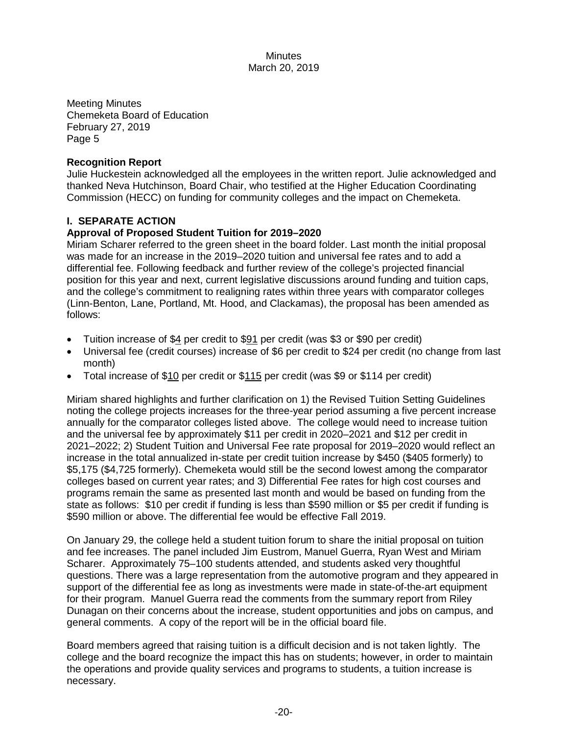Meeting Minutes Chemeketa Board of Education February 27, 2019 Page 5

## **Recognition Report**

Julie Huckestein acknowledged all the employees in the written report. Julie acknowledged and thanked Neva Hutchinson, Board Chair, who testified at the Higher Education Coordinating Commission (HECC) on funding for community colleges and the impact on Chemeketa.

# **I. SEPARATE ACTION**

# **Approval of Proposed Student Tuition for 2019–2020**

Miriam Scharer referred to the green sheet in the board folder. Last month the initial proposal was made for an increase in the 2019–2020 tuition and universal fee rates and to add a differential fee. Following feedback and further review of the college's projected financial position for this year and next, current legislative discussions around funding and tuition caps, and the college's commitment to realigning rates within three years with comparator colleges (Linn-Benton, Lane, Portland, Mt. Hood, and Clackamas), the proposal has been amended as follows:

- Tuition increase of \$4 per credit to \$91 per credit (was \$3 or \$90 per credit)
- Universal fee (credit courses) increase of \$6 per credit to \$24 per credit (no change from last month)
- Total increase of \$10 per credit or \$115 per credit (was \$9 or \$114 per credit)

Miriam shared highlights and further clarification on 1) the Revised Tuition Setting Guidelines noting the college projects increases for the three-year period assuming a five percent increase annually for the comparator colleges listed above. The college would need to increase tuition and the universal fee by approximately \$11 per credit in 2020–2021 and \$12 per credit in 2021–2022; 2) Student Tuition and Universal Fee rate proposal for 2019–2020 would reflect an increase in the total annualized in-state per credit tuition increase by \$450 (\$405 formerly) to \$5,175 (\$4,725 formerly). Chemeketa would still be the second lowest among the comparator colleges based on current year rates; and 3) Differential Fee rates for high cost courses and programs remain the same as presented last month and would be based on funding from the state as follows: \$10 per credit if funding is less than \$590 million or \$5 per credit if funding is \$590 million or above. The differential fee would be effective Fall 2019.

On January 29, the college held a student tuition forum to share the initial proposal on tuition and fee increases. The panel included Jim Eustrom, Manuel Guerra, Ryan West and Miriam Scharer. Approximately 75–100 students attended, and students asked very thoughtful questions. There was a large representation from the automotive program and they appeared in support of the differential fee as long as investments were made in state-of-the-art equipment for their program. Manuel Guerra read the comments from the summary report from Riley Dunagan on their concerns about the increase, student opportunities and jobs on campus, and general comments. A copy of the report will be in the official board file.

Board members agreed that raising tuition is a difficult decision and is not taken lightly. The college and the board recognize the impact this has on students; however, in order to maintain the operations and provide quality services and programs to students, a tuition increase is necessary.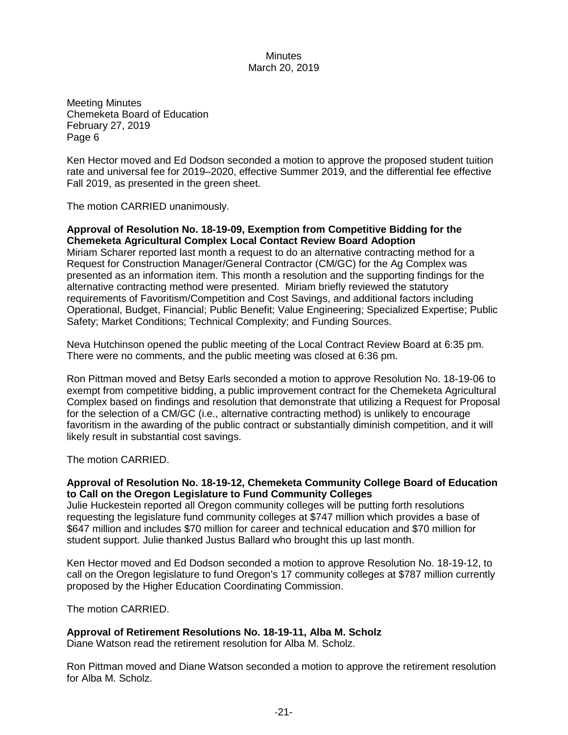Meeting Minutes Chemeketa Board of Education February 27, 2019 Page 6

Ken Hector moved and Ed Dodson seconded a motion to approve the proposed student tuition rate and universal fee for 2019–2020, effective Summer 2019, and the differential fee effective Fall 2019, as presented in the green sheet.

The motion CARRIED unanimously.

#### **Approval of Resolution No. 18-19-09, Exemption from Competitive Bidding for the Chemeketa Agricultural Complex Local Contact Review Board Adoption**

Miriam Scharer reported last month a request to do an alternative contracting method for a Request for Construction Manager/General Contractor (CM/GC) for the Ag Complex was presented as an information item. This month a resolution and the supporting findings for the alternative contracting method were presented. Miriam briefly reviewed the statutory requirements of Favoritism/Competition and Cost Savings, and additional factors including Operational, Budget, Financial; Public Benefit; Value Engineering; Specialized Expertise; Public Safety; Market Conditions; Technical Complexity; and Funding Sources.

Neva Hutchinson opened the public meeting of the Local Contract Review Board at 6:35 pm. There were no comments, and the public meeting was closed at 6:36 pm.

Ron Pittman moved and Betsy Earls seconded a motion to approve Resolution No. 18-19-06 to exempt from competitive bidding, a public improvement contract for the Chemeketa Agricultural Complex based on findings and resolution that demonstrate that utilizing a Request for Proposal for the selection of a CM/GC (i.e., alternative contracting method) is unlikely to encourage favoritism in the awarding of the public contract or substantially diminish competition, and it will likely result in substantial cost savings.

The motion CARRIED.

## **Approval of Resolution No. 18-19-12, Chemeketa Community College Board of Education to Call on the Oregon Legislature to Fund Community Colleges**

Julie Huckestein reported all Oregon community colleges will be putting forth resolutions requesting the legislature fund community colleges at \$747 million which provides a base of \$647 million and includes \$70 million for career and technical education and \$70 million for student support. Julie thanked Justus Ballard who brought this up last month.

Ken Hector moved and Ed Dodson seconded a motion to approve Resolution No. 18-19-12, to call on the Oregon legislature to fund Oregon's 17 community colleges at \$787 million currently proposed by the Higher Education Coordinating Commission.

The motion CARRIED.

## **Approval of Retirement Resolutions No. 18-19-11, Alba M. Scholz**

Diane Watson read the retirement resolution for Alba M. Scholz.

Ron Pittman moved and Diane Watson seconded a motion to approve the retirement resolution for Alba M. Scholz.